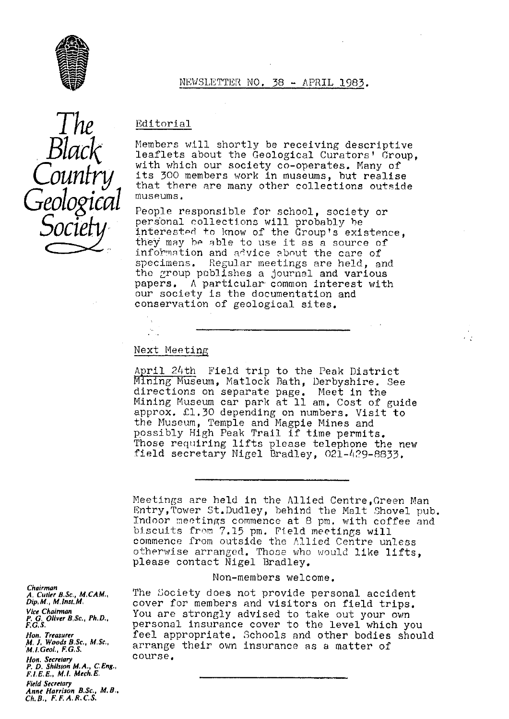

## NEWSLETTER NO. 38 - APRIL 1983 .

The *Black Country Geological* Socie

## Editorial

Members will shortly be receiving descriptive leaflets about the Geological Curators' Group, with which our society co-operates. Many of its 300 members work in museums, but realise that there are many other collections outside museums.

People responsible for school, society or personal collections will probably be interested to know of the Group's existence they may be able to use it as a source of information and advice about the care of specimens. Regular meetings are held, and the group publishes a journal and various papers. A particular, common interest with our society is the documentation and conservation of geological sites.

## Next Meeting

April 24th Field trip to the Peak District Mining Museum, Matlock Bath, Derbyshire. See directions on separate page. Meet in the Mining Museum car park at 11 am. Cost of guide approx.  $L1.30$  depending on numbers. Visit to the Museum, Temple and Magpie Mines and possibly High Peak Trail if time permits. Those requiring lifts please telephone the new field secretary Nigel Bradley, 021-429-8833.

Meetings are held in the Allied Centre,Creen Man Entry,Tower St.Dudley, behind the Malt Shovel pub. Indoor meetings commence at 8 pm. with coffee and biscuits from 7.15 pm. Pield meetings will commence from outside the Allied Centre unless otherwise arranged. Those who would like lifts, please contact Nigel Bradley.

#### Non-members welcome.

The Society does not provide personal accident cover for members and visitors on field trips. You are strongly advised to take out your own personal insurance cover to the level which you feel appropriate. Schools and other bodies should arrange their own insurance as a matter of course.

*Chairman A, Cutler B,Sc., M.CAM., Dip, M.,* M. *Inst. M. Vice Chairman P. G. Oliver B. Sc., Ph. D., F.G.S. Non. Treasurer* M. J. Woods B.Sc., M,Sc,, *M,1.Geol., F. G, S.* Hon. Secreta*ry P. D. Shilsion M.A. C,Eng., F, 1, E. E., M.1.* Mech, E, *Field Secreta***ry** *Anne Harrison B.Sc.. M.B. Ch. B., F, F. A. R.C. S.*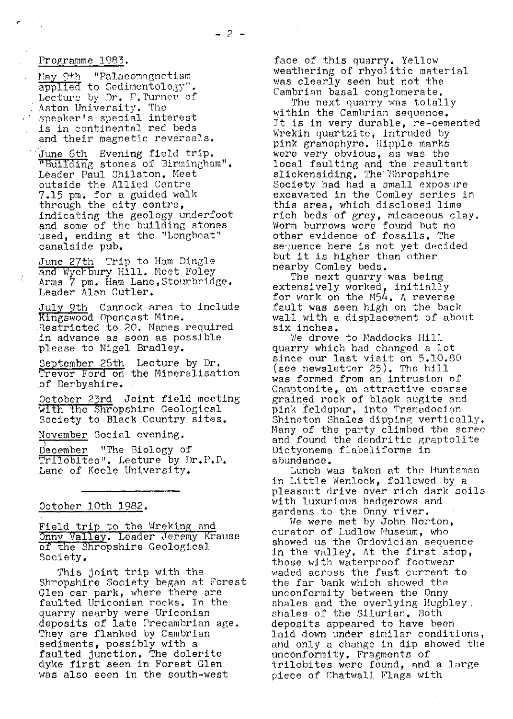## Programme 1983 .

May 9th Palaeomagnetism applied to Sedimentology". Lecture by Dr. P. Turner of Aston University. The speaker's special interest is in continental red beds and their magnetic reversals.

June 6th Evening field trip. 1ding stones of Birmingham". Leader Paul Chilston. Meet outside the Allied Centre 7.15 pm. for a guided walk through the city centre, indicating the geology underfoot and some of the building stones used, ending at the "Longboat" canalside pub.

June 27th Trip to Ham Dingle and Wychbury Hill. Meet Foley Arms 7 pm. Ham Lane,Stourbridge. Leader Alan Cutler.

July 9th Cannock area to include Kingswood Opencast Mine. Restricted to 20. Names required in advance as soon as possible please to Nigel Bradley. mestricted to 20. Wames required<br>in advance as soon as possible<br>please to Nigel Bradley.<br>September 26th Lecture by Dr.<br>Trevor Ford on the Mineralisation

of Derbyshire.

October 23rd Joint field meeting with the Shropshire Geological Society to Black Country sites.

November Social evening.

December "The Biology of Trilobites". Lecture by Dr.P.D. Lane of Keele University.

### October 10th 1982 .

Field trip to the Wreking and nny Valley. Leader Jeremy Krause .<br><mark>Field trip to the Wreking an<br>Onny Valley. Leader Jeremy K<br>of the Shropshire Geological</mark><br>Society. Society.

This joint trip with the Shropshire Society began at Forest Glen car park, where there are faulted Uriconian rocks. In the quarry nearby were Uriconian deposits of late Precambrian age. They are flanked by Cambrian sediments, possibly with a faulted junction. The dolerite dyke first seen in Forest Glen was also seen in the south-west

face of this quarry. Yellow weathering of rhyolitic material was clearly seen but not the Cambrian basal conglomerate.

The next quarry was totally within the Cambrian sequence. It is in very durable, re-cemented Wrekin quartzite, intruded by pink granophyre. Ripple marks were very obvious, as was the local faulting and the resultant slickensiding. The Shropshire Society had had a small exposure excavated in the Comley series in this area, which disclosed lime rich beds of grey, micaceous clay. Worm burrows were found but no other evidence of fossils. The sequence here is not yet decided but it is higher than other nearby Comley beds.

The next quarry was being extensively worked, initially for work on the M54. A reverse fault was seen high on the back wall with a displacement of about six inches.

We drove to Maddocks Hill quarry which had changed a lot since our last visit on 5.10.80 (see newsletter 25). The hill was formed from an intrusion of Camptonite, an attractive coarse grained rock of black augite and pink feldspar, into Tremadocian Shineton Shales dipping vertically. Many of the party climbed the scree and found the dendritic graptolite Dictyonema flabeliforme in abundance.

Lunch was taken at the Huntsman in Little Wenlock, followed by a pleasant drive over rich dark soils with luxurious hedgerows and gardens to the Onny river.

We were met by John Norton, curator of Ludlow Museum, who showed us the Ordovician sequence in the valley. At the first stop, those with waterproof footwear waded across the fast current to the far bank which showed the unconformity between the Onny shales and the overlying Iiughley. shales of the Silurian. Both deposits appeared to have been laid down under similar conditions, and only a change in dip showed the unconformity. Fragments of trilobites were found, and a large piece of Chatwall Flags with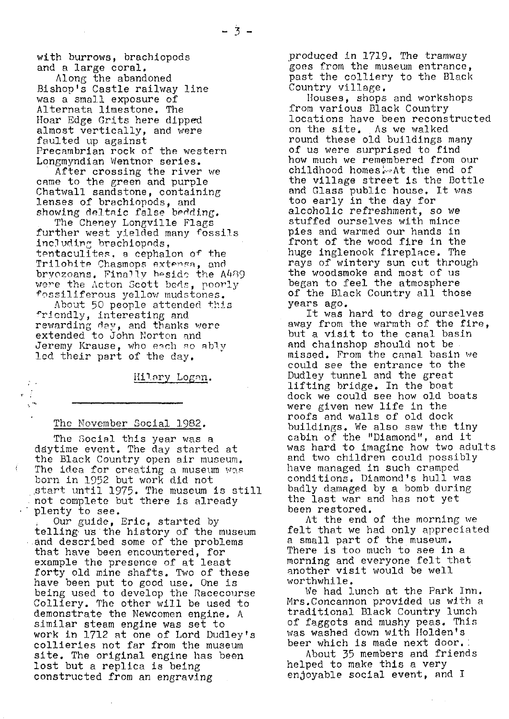with burrows, brachiopods and a large coral.

Along the abandoned Bishop's Castle railway line was a small exposure of Alternata limestone. The Hoar Edge Grits here dipped almost vertically, and were faulted up against Precambrian rock of the western Longmyndian Wentnor series.

After crossing the river we came to the green and purple Chatwall sandstone, containing lenses of brachiopods, and showing deltaic false bedding.

The Cheney Longville Flags further west yielded many fossils including brachiopods,  $\texttt{tentaculites, a cephalon of the}$ Trilobite Chasmops extensa, and bryozoans. Finally hesido the A489 were the Acton Scott bcds, poorly {'ossiliferous yellow mudstones.

About 50 people attended this friendly, interesting and rewarding day, and thanks were extended to John Norton and Jeremy Krause, who each so ably led their part of the day.

Hilary Logan.

## The November Social 1982.

 $\sim$  $\mathbf{v} \in \mathcal{E}$  $\chi^{(0)}$ 

> The Social this year was a daytime event. The day started at the Black Country open air museum. The idea for creating a museum was  $\sqrt{ }$ born in 1952 but work did not .start until 1975. The museum is still not complete but there is already plenty to see.

Our guide, Eric, started by telling•us'the history of the museum and described some of the problems that have been encountered, for example the presence of at least forty old mine shafts. Two of these have been put to good use. One is being used to develop the Racecourse Colliery. The other will be used to demonstrate the Newcomen engine. A similar steam engine was set to work in 1712 at one of Lord Dudley's collieries not far from the museum site. The original engine has been lost but a replica is being constructed from an engraving

produced in 1719. The tramway goes from the museum entrance, past the colliery to the Black Country village.

Houses, shops and workshops from various Black Country locations have been reconstructed on the site. As we walked round these old buildings many of us were surprised to find how much we remembered from our childhood homes: At the end of the village street is the Bottle and Glass public house. It was too early in the day for alcoholic refreshment, so we stuffed ourselves with mince pies and warmed our hands in front of the wood fire in the huge inglenook fireplace. The rays of wintery sun cut through the woodsmoke and most of us began to feel the atmosphere of the Black Country all those years ago.

It was hard to drag ourselves away from the warmth of the fire, but a visit to the canal basin and chainshop should not be missed. From the canal basin we could see the entrance to the Dudley tunnel and the great lifting bridge. In the boat dock we could see how old boats were given new life in the roofs and walls of old dock buildings. We also saw the tiny cabin of the "Diamond", and it was hard to imagine how two adults and two children could possibly have managed in such cramped conditions. Diamond's hull was badly damaged by a bomb durin $\it \ell$ the last war and has not yet been restored.

At the end of the morning we felt that we had only appreciated a small part of the museum. There is too much to see in a morning and everyone felt that another visit would be well worthwhile.

We had lunch at the Park Inn. Mrs.Concannon provided us with a traditional Black Country lunch of faggots and mushy peas. This was washed down with Holden's beer which is made next door..

About 35 members and friends helped to make this a very enjoyable social event, and I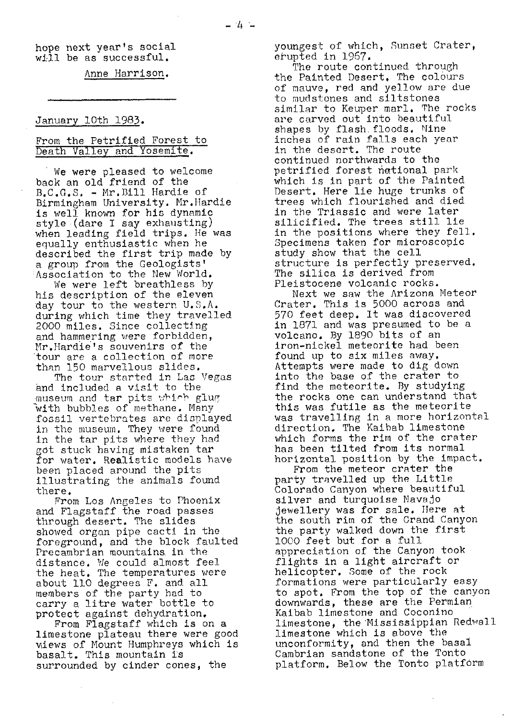## hope next year's social will be as successful.

Anne Harrison .

## January 10th 1983.

## From the Petrified Forest to Death Valley and Yosemite.

We were pleased to welcome back an old friend of the B.C.G.S. - Mr.Bill Hardie of Birmingham University. Mr. Hardie is well known for his dynamic style (dare I say exhausting) when leading field trips. He was equally enthusiastic when he described the first trip made by a group from the Geologists' Association to the New World.

We were left breathless by his description of the eleven day tour to the western U.S.A. during which time they travelled 2000 miles. Since collecting and hammering were forbidden, Mr.Hardie's souvenirs of the 'tour are a collection of more than 150 marvellous slides.

The tour started in Las Vegas and included a visit to the museum and tar pits which glug with bubbles of methane. Many fossil vertebrates are displayed in the museum. They were found in the tar pits where they had got stuck having mistaken tar for water. Realistic models have been placed around the pits illustrating the animals found there.

From Los Angeles to *Phoenix* and Flagstaff the road passes through desert. The slides showed organ pipe cacti in the foreground, and the block faulted Precambrian mountains in the distance. We could almost feel the heat. The temperatures were about 110 degrees F. and all members of the party had to carry a litre water bottle to protect against dehydration.

From Flagstaff which is on a limestone plateau there were good views of Mount Humphreys which is basalt. This mountain is surrounded by cinder cones, the

youngest of which, Sunset Crater, erupted in 1967.

The route continued through the Painted Desert. The colours of mauve, red and yellow are due to mudstones and siltstones similar to Keuper marl. The rocks are carved out into beautiful shapes by flash. floods. Nine inches of rain falls each year in the desert. The route continued northwards to the petrified forest national park which is in part of the Painted Desert. Here lie huge trunks of trees which flourished and died in the Triassic and were later silicified. The trees still lie in the positions where they fell. Specimens taken for microscopic study show that the cell structure is perfectly preserved. The silica is derived from Pleistocene volcanic rocks.

Next we saw the Arizona Meteor Crater. This is 5000 across and 570 feet deep. It was discovered **in** 1871 and was presumed to be a volcano. By 1890 bits of an Iron-nickel meteorite had been found up to six miles away. Attempts were made to dig down into the base of the crater to find the meteorite. By studying the rocks one can understand that this was futile as the meteorite was travelling in a more horizontal direction, The Kaibab limestone which forms the rim of *the crater* has been tilted from its normal horizontal position by the impact.

From the meteor crater the party travelled up the Little Colorado Canyon where beautiful silver and turquoise Navajo jewellery was for sale. Here at the south rim of the Grand Canyon the party walked down the first 1000 feet but for a full appreciation of the Canyon took flights in a light aircraft or helicopter. Some of the rock formations were particularly easy to spot. From the top of the canyon downwards, these are the Permian Kaibab limestone and Coconino limestone, the Mississippian Redwall limestone which is above the unconformity, and then the basal Cambrian sandstone of the Tonto platform. Below the Tonto platform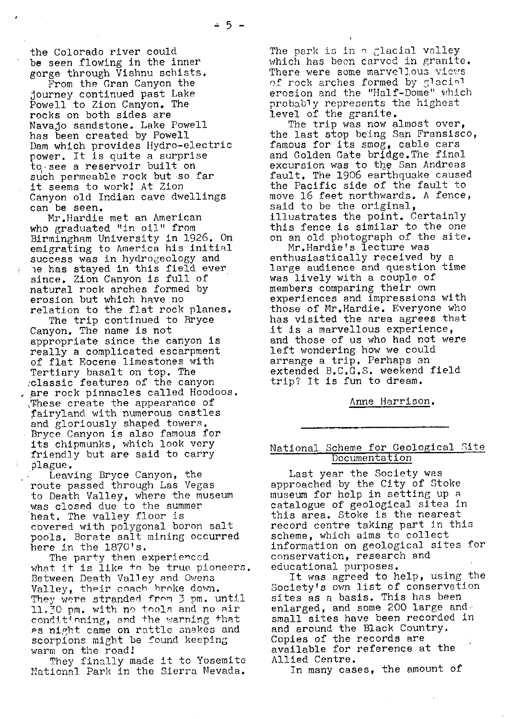the Colorado river could be seen flowing in the inner gorge through Vishnu schists.

From the Gran Canyon the journey continued past Lake Powell to Zion Canyon. The rocks on both sides are Navajo sandstone. Lake Powell has been created by Powell Dam which provides Hydro-electric power. It is quite a surprise to•see a reservoir built on such permeable rock but so far it seems to work! At Zion Canyon old Indian cave dwellings can be seen,

Mr.Hardie met an American who graduated "in oil" from Birmingham University in 1926. On emigrating to America his initial success was in hydrogeology and ie has stayed in this field ever, since. Zion Canyon is full of natural rock arches formed by erosion but which have no relation to the flat rock planes.

The trip continued to Bryce Canyon. The name is not appropriate since the canyon is really a complicated escarpment of flat Eocene limestones with Tertiary basalt on top. The ;classic features of the canyon are rock pinnacles called Hoodoos. ,These create the appearance of fairyland with numerous castles and gloriously shaped towers. Bryce Canyon is also famous for its chipmunks, which look very friendly but are said to carry plague.

Leaving Bryce Canyon, the route passed through Las Vegas to Death Valley, where the museum was closed due to the summer heat. The valley floor is covered with polygonal boron salt pools. Borate salt mining occurred here in the 1870's.

The party then experienced what it is like to be true pioneers. Between Death Valley and Owens Valley, their coach broke down. They were stranded from 3 pm. until ll.\_i0 pm. with no tools and no air conditioning, and the warning that as night came on rattle snakes and scorpions might be found keeping warm on the road!

They finally made it to Yosemite National Park in the Sierra Nevada.

The park is in a glacial valley which has been carved in granite. There were some marvellous views of rock arches formed by glacial erosion and the "Half-Dome" which probably represents the highest level of the granite.

The trip was now almost over, the last stop being San Fransisco, famous for its smog, cable cars and Golden Gate bridge.The final excursion was to the San Andreas fault. The 1906 earthquake caused the Pacific side of the fault to move 16 feet northwards. A fence, said to be the original, illustrates the point. Certainly this fence is similar to the one on an old photograph of the site.

Mr.Hardie's lecture was enthusiastically received by a large audience and question time was lively with a couple of members comparing their own experiences and impressions with those of Mr.Hardie. Everyone who has visited the area agrees that it is a marvellous experience, and those of us who had not were left wondering how we could arrange a trip. Perhaps an extended B.C.G.S. weekend field trip? It is fun to dream.

Anne Harrison .

## National Scheme for Geological Site Documentation

Last year the Society was approached by the City of Stoke museum for help in setting up a. catalogue of geological sites in this area. Stoke is the nearest record centre taking part in this scheme, which aims to collect information on geological sites for conservation, research and educational purposes.

It was agreed to help, using the Society's own list of conservation sites as a basis. This has been enlarged, and some 200 large and  $\cdot$ small sites have been recorded in and around the Black Country. Copies of the records are available for reference at the Allied Centre.

In many cases, the amount of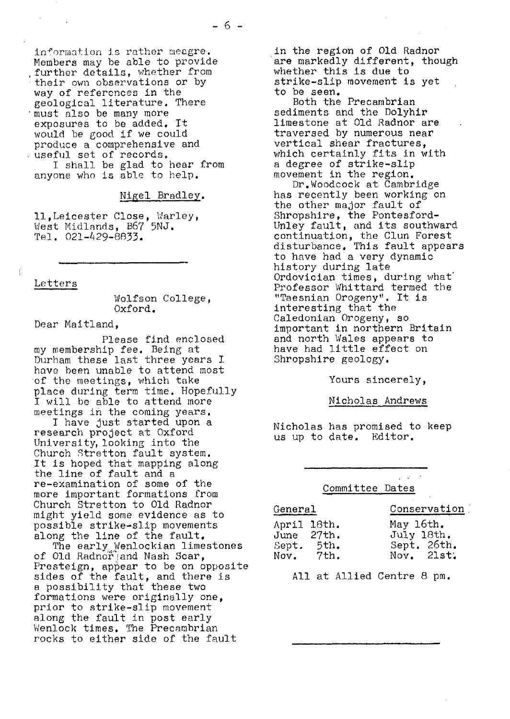in{'ormation is rather meagre. Members may be able to provide further details, whether from their own observations or by way of references in the geological literature. There must also be many more exposures to be added. It would be good if we could produce a comprehensive and useful set of records. I shall be glad to hear from anyone who is able to help.

Nigel Bradley .

l1.,Leicester Close, Warley, West Midlands, B67 5NJ. Tel. 021-429-8833.

Letters

Wolfson College, Oxford.

Dear Maitland,

Please find enclosed my membership fee. Being at Durham these last three years I have been unable to attend most of the meetings, which take place during term time. Hopefully I will be able to attend more meetings in the coming years.

I have just started upon a research project at Oxford University, looking into the Church Stretton fault system. It is hoped that mapping along the line of fault and a re-examination of some of the more important formations from Church Stretton to Old Radnor might yield some evidence as to possible strike-slip movements along the line of the fault.

*The early,.* Wenlockian limestones of Old Radnor and Nash Scar, Presteign, appear to be on opposite sides of the fault, and there is a possibility that these two formations were originally one, prior to strike-slip movement along the fault in post early Wenlock times. The Precambrian rocks to either side of the fault

in the region of Old Radnor are markedly different, though whether this is due to strike-slip movement is yet to be seen.

Both the Precambrian sediments and the Dolyhir limestone at Old Radnor are traversed by numerous near vertical shear fractures, which certainly fits in with a degree of strike-slip movement in the region.

Dr.Woodcock at Cambridge has recently been working on the other major fault of Shropshire, the Pontesford-Unley fault, and its southward continuation, the Clun Forest disturbance. This fault appears to have had a very dynamic history during late Ordovician times, during what' Professor Whittard termed the "Taesnian Orogeny". It is interesting that the Caledonian Orogeny, so important in northern Britain and north Wales appears to have had little effect on Shropshire geology.

Yours sincerely,

Nicholas Andrews

Nicholas has promised to keep us up to date. Editor.

Committee Dates

## General Conservation

| <u> 1979 - John MacHannel, fransk politiker (* 1984)</u> |             |             |
|----------------------------------------------------------|-------------|-------------|
|                                                          | April 18th. | May 16th.   |
|                                                          | June 27th.  | July 18th.  |
| Sept.                                                    | 5th.        | Sept. 26th. |
| Nov.                                                     | 7th.        | Nov. 21st.  |

All at Allied Centre 8 pm.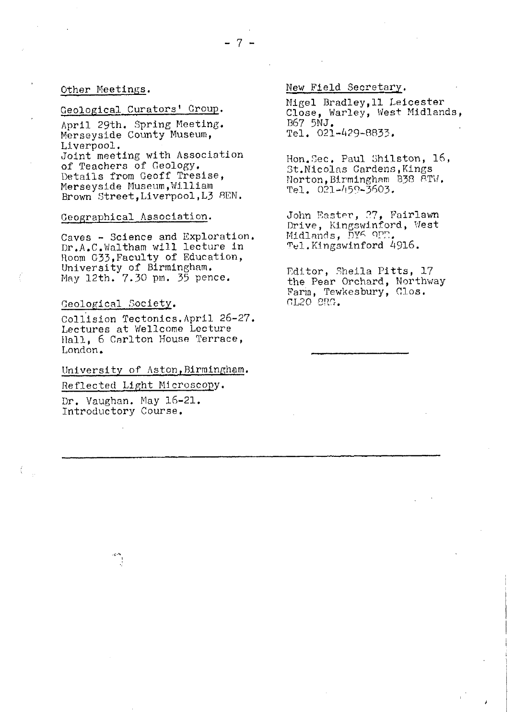#### Other Meetings.

## Geological Curators' Group.

April 29th. Spring Meeting. Merseyside County Museum, Liverpool. Joint meeting with Association of Teachers of Geology. Details from Geoff Tresise, Merseyside Museum, William Brown Street, Liverpool, L3 8EN.

#### Geographical Association .

Caves - Science and Exploration. Dr.A.C.Waltham will lecture in Room G33, Faculty of Education, University of Birmingham. May 12th. 7.30 pm. 35 pence.

## Geological Society .

Collision Tectonics.April 26-27 Lectures at Wellcome Lecture Hall, 6 Carlton House Terrace, London.

## University of Aston, Birmingham.

Reflected Light Microscopy.

Dr. Vaughan. May 16-21. Introductory Course.

IN

New Field Secretary .

Nigel Bradley,1l Leicester Close, Warley, West Midlands, B67 5NJ. Tel, 021-429-8833.

Hon.Gec. Paul 3hilston, 16, St.Nicolas Gardens, Kings Norton, Birmingham B38 8TW.  $Te1. 021 - 459 - 3603.$ 

John Easter, 27, Fairlawn Drive, Kingswinford, West Midlands, DYK OPT. T el. Kingswinford 4916.

Editor, Sheila Pitts, 17 the Pear Orchard, Northway Farm, Tewkesbury, Clos.  $GL20$   $SRG$ .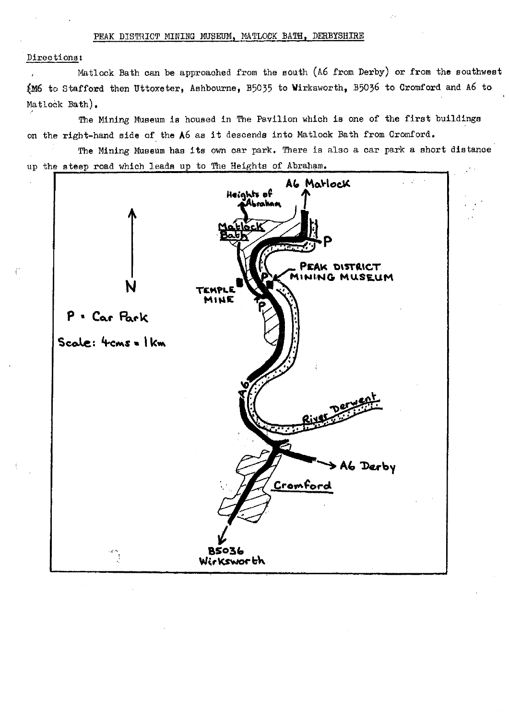## PEAK DISTRICT MINING MUSEUM. MATLOCK BATH. DERBYSHIRE

#### Directions:

Matlock Bath can be approached from the south (A6 from Derby) or from the southwest (M6 to Stafford then Uttoxeter, Ashbourne, B5035 to Wirksworth, B5036 to Cromford and A6 to Matlock Bath),

The Mining Museum is housed in The Pavilion which is one of the first buildings on the right-hand side of the A6 as it descends into Matlock Bath from Cromford.

The Mining Museum has its own car park. There is also a car park a short distance up t he steep road which leads up to The Heights of Abraham.